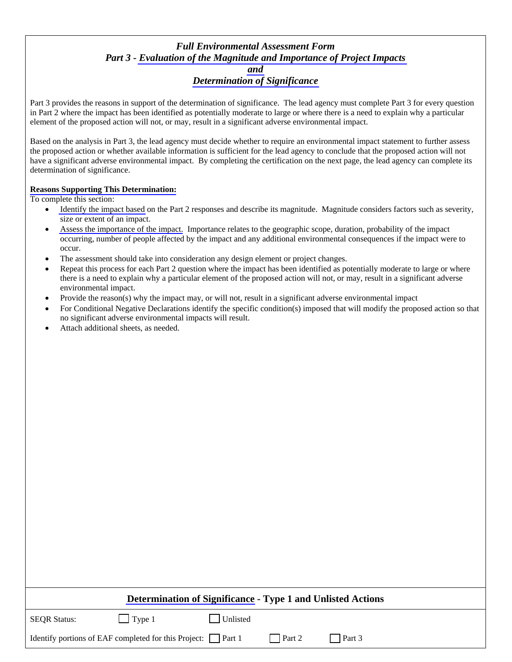## *Full Environmental Assessment Form Part 3 - [Evaluation of the Magnitude and Importance of Project Impacts](http://www.dec.ny.gov/permits/91818.html)  [and](http://www.dec.ny.gov/permits/91818.html)  [Determination of Significance](http://www.dec.ny.gov/permits/91818.html)*

Part 3 provides the reasons in support of the determination of significance. The lead agency must complete Part 3 for every question in Part 2 where the impact has been identified as potentially moderate to large or where there is a need to explain why a particular element of the proposed action will not, or may, result in a significant adverse environmental impact.

Based on the analysis in Part 3, the lead agency must decide whether to require an environmental impact statement to further assess the proposed action or whether available information is sufficient for the lead agency to conclude that the proposed action will not have a significant adverse environmental impact. By completing the certification on the next page, the lead agency can complete its determination of significance.

## **[Reasons Supporting This Determination:](http://www.dec.ny.gov/permits/91824.html)**

To complete this section:

- [Identify the impact based](http://www.dec.ny.gov/permits/91829.html) on the Part 2 responses and describe its magnitude. Magnitude considers factors such as severity, size or extent of an impact.
- [Assess the importance of the impact.](http://www.dec.ny.gov/permits/91829.html) Importance relates to the geographic scope, duration, probability of the impact occurring, number of people affected by the impact and any additional environmental consequences if the impact were to occur.
- The assessment should take into consideration any design element or project changes.
- Repeat this process for each Part 2 question where the impact has been identified as potentially moderate to large or where there is a need to explain why a particular element of the proposed action will not, or may, result in a significant adverse environmental impact.
- Provide the reason(s) why the impact may, or will not, result in a significant adverse environmental impact
- For Conditional Negative Declarations identify the specific condition(s) imposed that will modify the proposed action so that no significant adverse environmental impacts will result.
- Attach additional sheets, as needed.

| Determination of Significance - Type 1 and Unlisted Actions        |               |          |               |        |  |
|--------------------------------------------------------------------|---------------|----------|---------------|--------|--|
| <b>SEOR Status:</b>                                                | $\Box$ Type 1 | Unlisted |               |        |  |
| Identify portions of EAF completed for this Project: $\Box$ Part 1 |               |          | $\Box$ Part 2 | Part 3 |  |